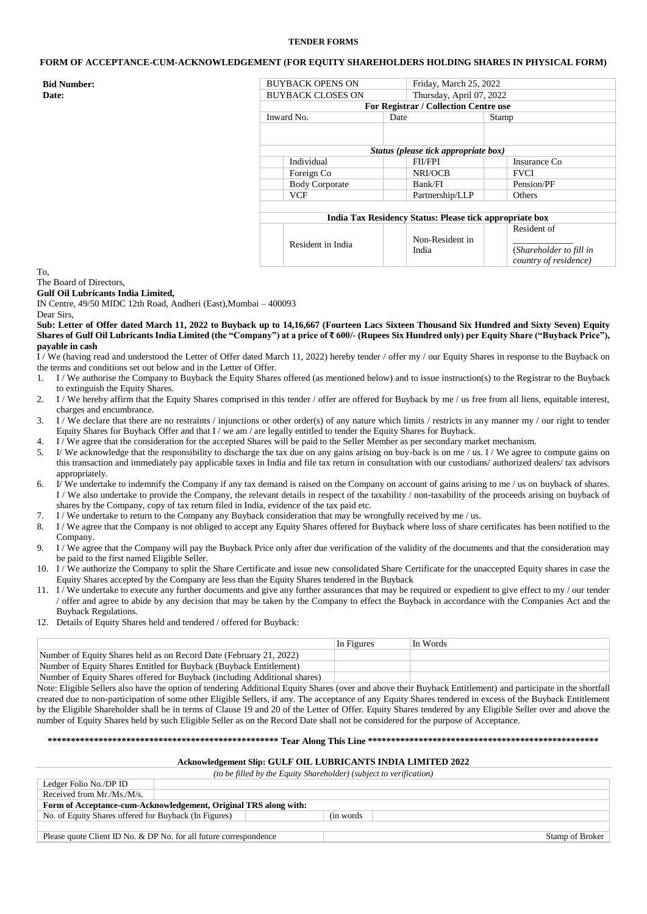## **TENDER FORMS**

# **FORM OF ACCEPTANCE-CUM-ACKNOWLEDGEMENT (FOR EQUITY SHAREHOLDERS HOLDING SHARES IN PHYSICAL FORM)**

| <b>Bid Number:</b> | <b>BUYBACK OPENS ON</b>  | Friday, March 25, 2022                                  |                         |  |  |
|--------------------|--------------------------|---------------------------------------------------------|-------------------------|--|--|
| <b>Date:</b>       | <b>BUYBACK CLOSES ON</b> | Thursday, April 07, 2022                                |                         |  |  |
|                    |                          | For Registrar / Collection Centre use                   |                         |  |  |
|                    | Inward No.               | Date                                                    | Stamp                   |  |  |
|                    |                          |                                                         |                         |  |  |
|                    |                          |                                                         |                         |  |  |
|                    |                          | Status (please tick appropriate box)                    |                         |  |  |
|                    | Individual               | <b>FII/FPI</b>                                          | Insurance Co            |  |  |
|                    | Foreign Co               | NRI/OCB                                                 | <b>FVCI</b>             |  |  |
|                    | <b>Body Corporate</b>    | Bank/FI                                                 | Pension/PF              |  |  |
|                    | <b>VCF</b>               | Partnership/LLP                                         | Others                  |  |  |
|                    |                          |                                                         |                         |  |  |
|                    |                          | India Tax Residency Status: Please tick appropriate box |                         |  |  |
|                    |                          |                                                         | Resident of             |  |  |
|                    | Resident in India        | Non-Resident in                                         |                         |  |  |
|                    |                          | India                                                   | (Shareholder to fill in |  |  |
|                    |                          |                                                         | country of residence)   |  |  |

To,

#### The Board of Directors, **Gulf Oil Lubricants India Limited,**

IN Centre, 49/50 MIDC 12th Road, Andheri (East),Mumbai – 400093

Dear Sirs,

**Sub: Letter of Offer dated March 11, 2022 to Buyback up to 14,16,667 (Fourteen Lacs Sixteen Thousand Six Hundred and Sixty Seven) Equity Shares of Gulf Oil Lubricants India Limited (the "Company") at a price of ₹ 600/- (Rupees Six Hundred only) per Equity Share ("Buyback Price"), payable in cash**

 $\overline{I}$  / We (having read and understood the Letter of Offer dated March 11, 2022) hereby tender / offer my / our Equity Shares in response to the Buyback on the terms and conditions set out below and in the Letter of Offer.

- 1. I / We authorise the Company to Buyback the Equity Shares offered (as mentioned below) and to issue instruction(s) to the Registrar to the Buyback to extinguish the Equity Shares.
- 2. I / We hereby affirm that the Equity Shares comprised in this tender / offer are offered for Buyback by me / us free from all liens, equitable interest, charges and encumbrance.
- 3. I / We declare that there are no restraints / injunctions or other order(s) of any nature which limits / restricts in any manner my / our right to tender Equity Shares for Buyback Offer and that I / we am / are legally entitled to tender the Equity Shares for Buyback.
- 4. I / We agree that the consideration for the accepted Shares will be paid to the Seller Member as per secondary market mechanism.
- 5. I/ We acknowledge that the responsibility to discharge the tax due on any gains arising on buy-back is on me / us. I / We agree to compute gains on this transaction and immediately pay applicable taxes in India and file tax return in consultation with our custodians/ authorized dealers/ tax advisors appropriately.
- 6. I/ We undertake to indemnify the Company if any tax demand is raised on the Company on account of gains arising to me / us on buyback of shares. I / We also undertake to provide the Company, the relevant details in respect of the taxability / non-taxability of the proceeds arising on buyback of shares by the Company, copy of tax return filed in India, evidence of the tax paid etc.
- 7. I / We undertake to return to the Company any Buyback consideration that may be wrongfully received by me / us.
- 8. I / We agree that the Company is not obliged to accept any Equity Shares offered for Buyback where loss of share certificates has been notified to the Company.
- 9. I / We agree that the Company will pay the Buyback Price only after due verification of the validity of the documents and that the consideration may be paid to the first named Eligible Seller.
- 10. I / We authorize the Company to split the Share Certificate and issue new consolidated Share Certificate for the unaccepted Equity shares in case the Equity Shares accepted by the Company are less than the Equity Shares tendered in the Buyback
- 11. I / We undertake to execute any further documents and give any further assurances that may be required or expedient to give effect to my / our tender / offer and agree to abide by any decision that may be taken by the Company to effect the Buyback in accordance with the Companies Act and the Buyback Regulations.
- 12. Details of Equity Shares held and tendered / offered for Buyback:

|                                                                           | In Figures | In Words |
|---------------------------------------------------------------------------|------------|----------|
| Number of Equity Shares held as on Record Date (February 21, 2022)        |            |          |
| Number of Equity Shares Entitled for Buyback (Buyback Entitlement)        |            |          |
| Number of Equity Shares offered for Buyback (including Additional shares) |            |          |

Note: Eligible Sellers also have the option of tendering Additional Equity Shares (over and above their Buyback Entitlement) and participate in the shortfall created due to non-participation of some other Eligible Sellers, if any. The acceptance of any Equity Shares tendered in excess of the Buyback Entitlement by the Eligible Shareholder shall be in terms of Clause 19 and 20 of the Letter of Offer. Equity Shares tendered by any Eligible Seller over and above the number of Equity Shares held by such Eligible Seller as on the Record Date shall not be considered for the purpose of Acceptance.

## **\*\*\*\*\*\*\*\*\*\*\*\*\*\*\*\*\*\*\*\*\*\*\*\*\*\*\*\*\*\*\*\*\*\*\*\*\*\*\*\*\*\*\*\*\*\*\*\*\*\* Tear Along This Line \*\*\*\*\*\*\*\*\*\*\*\*\*\*\*\*\*\*\*\*\*\*\*\*\*\*\*\*\*\*\*\*\*\*\*\*\*\*\*\*\*\*\*\*\*\*\*\*\*\***

# **Acknowledgement Slip: GULF OIL LUBRICANTS INDIA LIMITED 2022**

*(to be filled by the Equity Shareholder) (subject to verification)* Ledger Folio No./DP ID Received from Mr./Ms./M/s. **Form of Acceptance-cum-Acknowledgement, Original TRS along with:** No. of Equity Shares offered for Buyback (In Figures) (in words Please quote Client ID No. & DP No. for all future correspondence Stamp of Broker